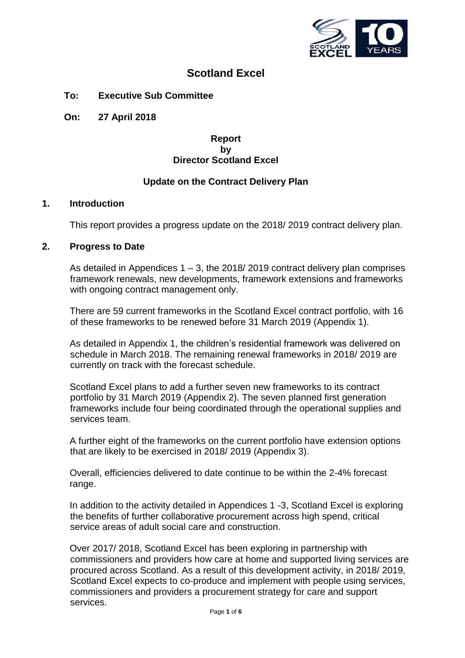

# **Scotland Excel**

**To: Executive Sub Committee**

**On: 27 April 2018**

### **Report by Director Scotland Excel**

### **Update on the Contract Delivery Plan**

### **1. Introduction**

This report provides a progress update on the 2018/ 2019 contract delivery plan.

### **2. Progress to Date**

As detailed in Appendices  $1 - 3$ , the 2018/2019 contract delivery plan comprises framework renewals, new developments, framework extensions and frameworks with ongoing contract management only.

There are 59 current frameworks in the Scotland Excel contract portfolio, with 16 of these frameworks to be renewed before 31 March 2019 (Appendix 1).

As detailed in Appendix 1, the children's residential framework was delivered on schedule in March 2018. The remaining renewal frameworks in 2018/ 2019 are currently on track with the forecast schedule.

Scotland Excel plans to add a further seven new frameworks to its contract portfolio by 31 March 2019 (Appendix 2). The seven planned first generation frameworks include four being coordinated through the operational supplies and services team.

A further eight of the frameworks on the current portfolio have extension options that are likely to be exercised in 2018/ 2019 (Appendix 3).

Overall, efficiencies delivered to date continue to be within the 2-4% forecast range.

In addition to the activity detailed in Appendices 1 -3, Scotland Excel is exploring the benefits of further collaborative procurement across high spend, critical service areas of adult social care and construction.

Over 2017/ 2018, Scotland Excel has been exploring in partnership with commissioners and providers how care at home and supported living services are procured across Scotland. As a result of this development activity, in 2018/ 2019, Scotland Excel expects to co-produce and implement with people using services, commissioners and providers a procurement strategy for care and support services.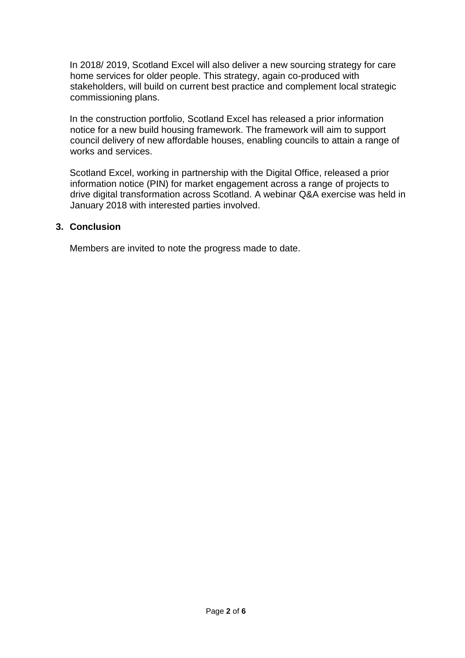In 2018/ 2019, Scotland Excel will also deliver a new sourcing strategy for care home services for older people. This strategy, again co-produced with stakeholders, will build on current best practice and complement local strategic commissioning plans.

In the construction portfolio, Scotland Excel has released a prior information notice for a new build housing framework. The framework will aim to support council delivery of new affordable houses, enabling councils to attain a range of works and services.

Scotland Excel, working in partnership with the Digital Office, released a prior information notice (PIN) for market engagement across a range of projects to drive digital transformation across Scotland. A webinar Q&A exercise was held in January 2018 with interested parties involved.

### **3. Conclusion**

Members are invited to note the progress made to date.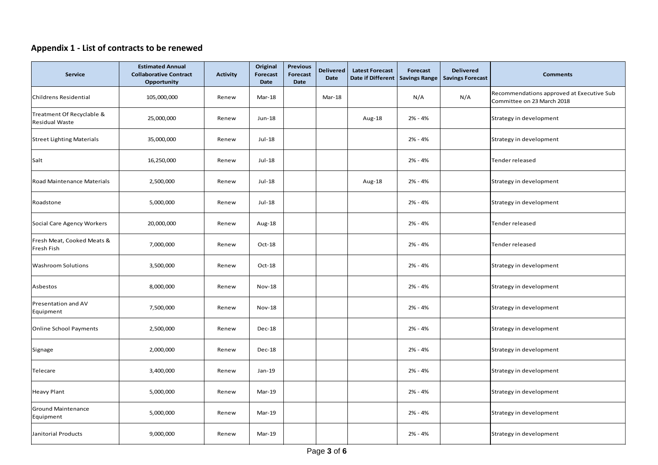# **Appendix 1 - List of contracts to be renewed**

| Service                                     | <b>Estimated Annual</b><br><b>Collaborative Contract</b><br>Opportunity | <b>Activity</b> | Original<br>Forecast<br>Date | <b>Previous</b><br><b>Forecast</b><br><b>Date</b> | <b>Delivered</b><br>Date | <b>Latest Forecast</b><br>Date if Different   Savings Range | Forecast  | <b>Delivered</b><br><b>Savings Forecast</b> | <b>Comments</b>                                                         |
|---------------------------------------------|-------------------------------------------------------------------------|-----------------|------------------------------|---------------------------------------------------|--------------------------|-------------------------------------------------------------|-----------|---------------------------------------------|-------------------------------------------------------------------------|
| Childrens Residential                       | 105,000,000                                                             | Renew           | Mar-18                       |                                                   | Mar-18                   |                                                             | N/A       | N/A                                         | Recommendations approved at Executive Sub<br>Committee on 23 March 2018 |
| Treatment Of Recyclable &<br>Residual Waste | 25,000,000                                                              | Renew           | Jun-18                       |                                                   |                          | Aug-18                                                      | 2% - 4%   |                                             | Strategy in development                                                 |
| <b>Street Lighting Materials</b>            | 35,000,000                                                              | Renew           | Jul-18                       |                                                   |                          |                                                             | 2% - 4%   |                                             | Strategy in development                                                 |
| Salt                                        | 16,250,000                                                              | Renew           | Jul-18                       |                                                   |                          |                                                             | 2% - 4%   |                                             | Tender released                                                         |
| Road Maintenance Materials                  | 2,500,000                                                               | Renew           | Jul-18                       |                                                   |                          | Aug-18                                                      | 2% - 4%   |                                             | Strategy in development                                                 |
| Roadstone                                   | 5,000,000                                                               | Renew           | Jul-18                       |                                                   |                          |                                                             | 2% - 4%   |                                             | Strategy in development                                                 |
| Social Care Agency Workers                  | 20,000,000                                                              | Renew           | Aug-18                       |                                                   |                          |                                                             | 2% - 4%   |                                             | Tender released                                                         |
| Fresh Meat, Cooked Meats &<br>Fresh Fish    | 7,000,000                                                               | Renew           | Oct-18                       |                                                   |                          |                                                             | 2% - 4%   |                                             | Tender released                                                         |
| <b>Washroom Solutions</b>                   | 3,500,000                                                               | Renew           | Oct-18                       |                                                   |                          |                                                             | 2% - 4%   |                                             | Strategy in development                                                 |
| Asbestos                                    | 8,000,000                                                               | Renew           | <b>Nov-18</b>                |                                                   |                          |                                                             | 2% - 4%   |                                             | Strategy in development                                                 |
| Presentation and AV<br>Equipment            | 7,500,000                                                               | Renew           | <b>Nov-18</b>                |                                                   |                          |                                                             | 2% - 4%   |                                             | Strategy in development                                                 |
| <b>Online School Payments</b>               | 2,500,000                                                               | Renew           | Dec-18                       |                                                   |                          |                                                             | 2% - 4%   |                                             | Strategy in development                                                 |
| Signage                                     | 2,000,000                                                               | Renew           | Dec-18                       |                                                   |                          |                                                             | 2% - 4%   |                                             | Strategy in development                                                 |
| Telecare                                    | 3,400,000                                                               | Renew           | Jan-19                       |                                                   |                          |                                                             | 2% - 4%   |                                             | Strategy in development                                                 |
| <b>Heavy Plant</b>                          | 5,000,000                                                               | Renew           | Mar-19                       |                                                   |                          |                                                             | 2% - 4%   |                                             | Strategy in development                                                 |
| <b>Ground Maintenance</b><br>Equipment      | 5,000,000                                                               | Renew           | Mar-19                       |                                                   |                          |                                                             | 2% - 4%   |                                             | Strategy in development                                                 |
| Janitorial Products                         | 9,000,000                                                               | Renew           | Mar-19                       |                                                   |                          |                                                             | $2% - 4%$ |                                             | Strategy in development                                                 |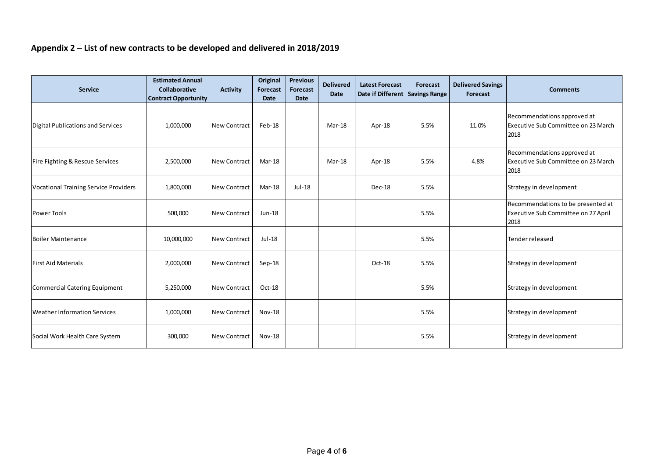# **Appendix 2 – List of new contracts to be developed and delivered in 2018/2019**

| <b>Service</b>                               | <b>Estimated Annual</b><br><b>Collaborative</b><br><b>Contract Opportunity</b> | <b>Activity</b>     | Original<br><b>Forecast</b><br><b>Date</b> | <b>Previous</b><br>Forecast<br><b>Date</b> | <b>Delivered</b><br><b>Date</b> | <b>Latest Forecast</b><br>Date if Different   Savings Range | Forecast | <b>Delivered Savings</b><br>Forecast | <b>Comments</b>                                                                   |
|----------------------------------------------|--------------------------------------------------------------------------------|---------------------|--------------------------------------------|--------------------------------------------|---------------------------------|-------------------------------------------------------------|----------|--------------------------------------|-----------------------------------------------------------------------------------|
| Digital Publications and Services            | 1,000,000                                                                      | New Contract        | Feb-18                                     |                                            | $Mar-18$                        | Apr-18                                                      | 5.5%     | 11.0%                                | Recommendations approved at<br>Executive Sub Committee on 23 March<br>2018        |
| Fire Fighting & Rescue Services              | 2,500,000                                                                      | <b>New Contract</b> | $Mar-18$                                   |                                            | $Mar-18$                        | Apr-18                                                      | 5.5%     | 4.8%                                 | Recommendations approved at<br>Executive Sub Committee on 23 March<br>2018        |
| <b>Vocational Training Service Providers</b> | 1,800,000                                                                      | <b>New Contract</b> | Mar-18                                     | Jul-18                                     |                                 | $Dec-18$                                                    | 5.5%     |                                      | Strategy in development                                                           |
| Power Tools                                  | 500,000                                                                        | <b>New Contract</b> | Jun-18                                     |                                            |                                 |                                                             | 5.5%     |                                      | Recommendations to be presented at<br>Executive Sub Committee on 27 April<br>2018 |
| Boiler Maintenance                           | 10,000,000                                                                     | <b>New Contract</b> | Jul-18                                     |                                            |                                 |                                                             | 5.5%     |                                      | Tender released                                                                   |
| <b>First Aid Materials</b>                   | 2,000,000                                                                      | <b>New Contract</b> | Sep-18                                     |                                            |                                 | Oct-18                                                      | 5.5%     |                                      | Strategy in development                                                           |
| Commercial Catering Equipment                | 5,250,000                                                                      | <b>New Contract</b> | Oct-18                                     |                                            |                                 |                                                             | 5.5%     |                                      | Strategy in development                                                           |
| <b>Weather Information Services</b>          | 1,000,000                                                                      | <b>New Contract</b> | <b>Nov-18</b>                              |                                            |                                 |                                                             | 5.5%     |                                      | Strategy in development                                                           |
| Social Work Health Care System               | 300,000                                                                        | <b>New Contract</b> | <b>Nov-18</b>                              |                                            |                                 |                                                             | 5.5%     |                                      | Strategy in development                                                           |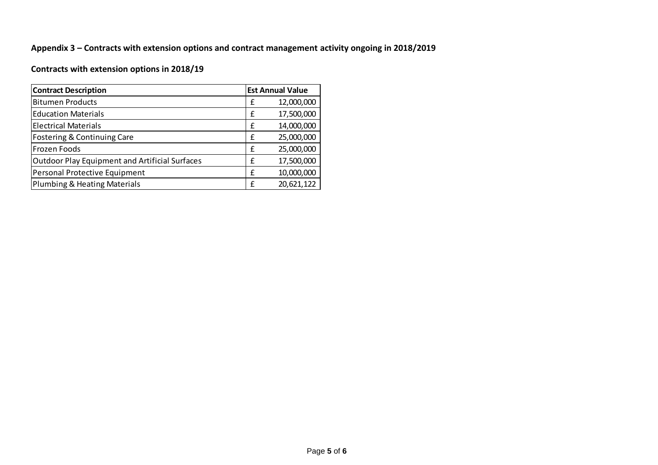# **Appendix 3 – Contracts with extension options and contract management activity ongoing in 2018/2019**

# **Contracts with extension options in 2018/19**

| <b>Contract Description</b>                           |   | <b>Est Annual Value</b> |  |  |
|-------------------------------------------------------|---|-------------------------|--|--|
| <b>Bitumen Products</b>                               | £ | 12,000,000              |  |  |
| <b>Education Materials</b>                            | £ | 17,500,000              |  |  |
| <b>Electrical Materials</b>                           | £ | 14,000,000              |  |  |
| Fostering & Continuing Care                           | £ | 25,000,000              |  |  |
| Frozen Foods                                          | £ | 25,000,000              |  |  |
| <b>Outdoor Play Equipment and Artificial Surfaces</b> | £ | 17,500,000              |  |  |
| Personal Protective Equipment                         | £ | 10,000,000              |  |  |
| Plumbing & Heating Materials                          | £ | 20,621,122              |  |  |